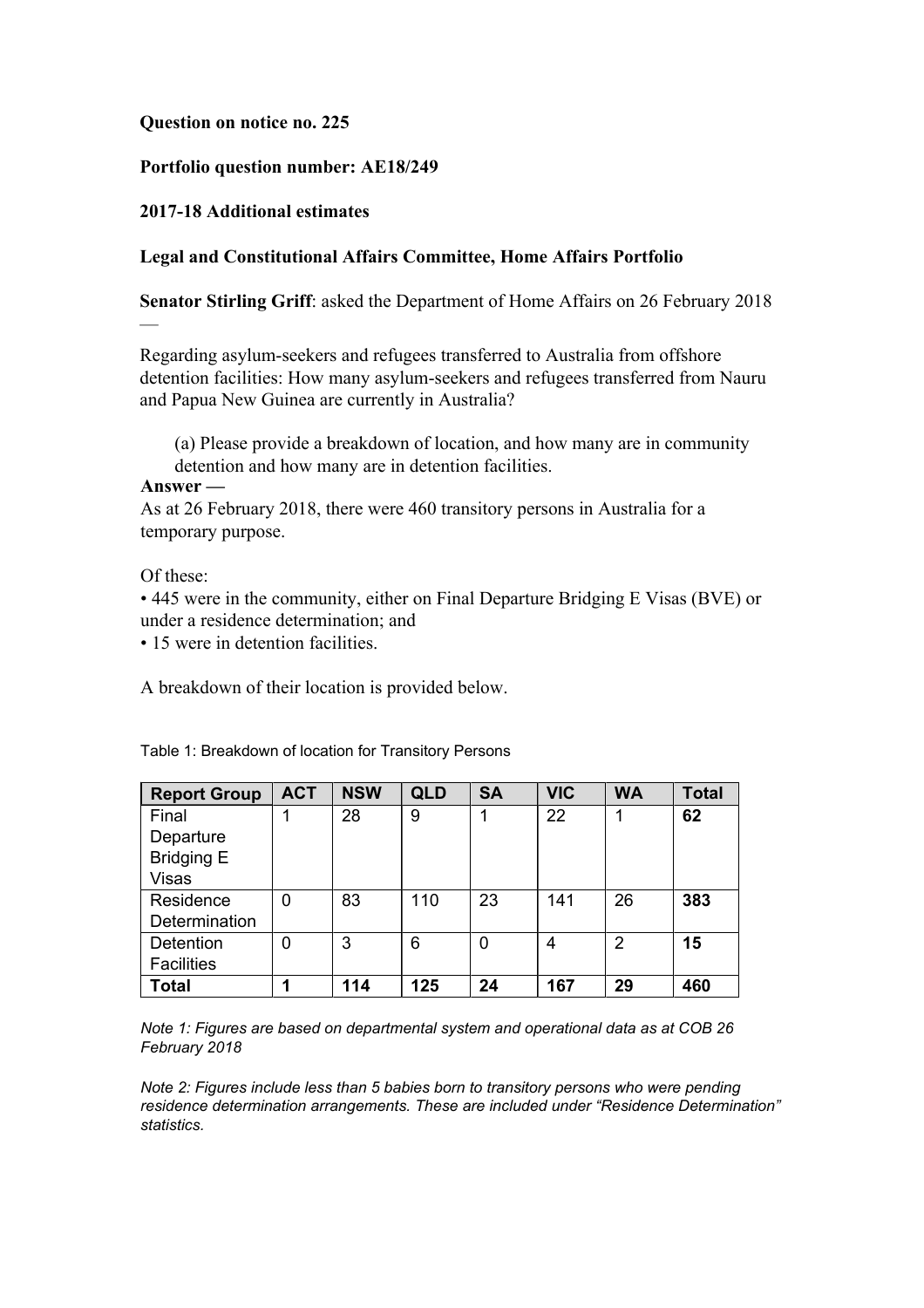### **Question on notice no. 225**

# **Portfolio question number: AE18/249**

# **2017-18 Additional estimates**

# **Legal and Constitutional Affairs Committee, Home Affairs Portfolio**

**Senator Stirling Griff**: asked the Department of Home Affairs on 26 February 2018

Regarding asylum-seekers and refugees transferred to Australia from offshore detention facilities: How many asylum-seekers and refugees transferred from Nauru and Papua New Guinea are currently in Australia?

(a) Please provide a breakdown of location, and how many are in community detention and how many are in detention facilities.

### **Answer —**

—

As at 26 February 2018, there were 460 transitory persons in Australia for a temporary purpose.

Of these:

• 445 were in the community, either on Final Departure Bridging E Visas (BVE) or under a residence determination; and

• 15 were in detention facilities.

A breakdown of their location is provided below.

| <b>Report Group</b> | <b>ACT</b>     | <b>NSW</b> | <b>QLD</b> | <b>SA</b> | <b>VIC</b> | <b>WA</b> | <b>Total</b> |
|---------------------|----------------|------------|------------|-----------|------------|-----------|--------------|
| Final               |                | 28         | 9          |           | 22         |           | 62           |
| Departure           |                |            |            |           |            |           |              |
| <b>Bridging E</b>   |                |            |            |           |            |           |              |
| <b>Visas</b>        |                |            |            |           |            |           |              |
| Residence           | $\overline{0}$ | 83         | 110        | 23        | 141        | 26        | 383          |
| Determination       |                |            |            |           |            |           |              |
| Detention           | 0              | 3          | 6          | 0         | 4          | 2         | 15           |
| <b>Facilities</b>   |                |            |            |           |            |           |              |
| <b>Total</b>        | 4              | 114        | 125        | 24        | 167        | 29        | 460          |

Table 1: Breakdown of location for Transitory Persons

*Note 1: Figures are based on departmental system and operational data as at COB 26 February 2018*

*Note 2: Figures include less than 5 babies born to transitory persons who were pending residence determination arrangements. These are included under "Residence Determination" statistics.*